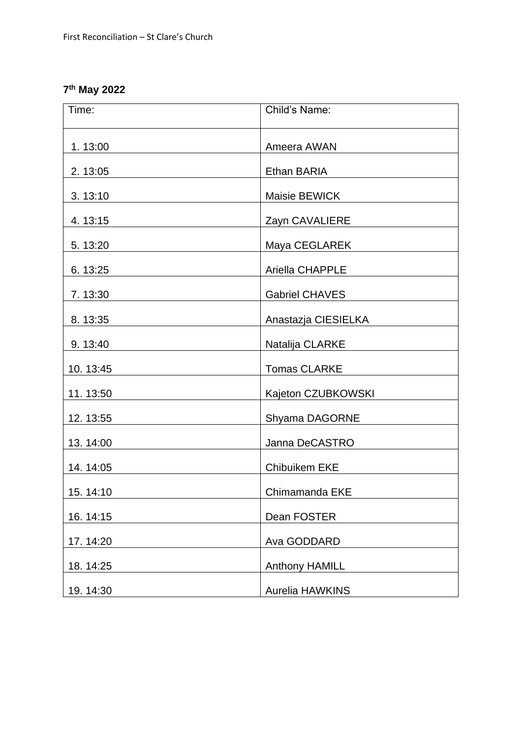## **7 th May 2022**

| Time:    | Child's Name:         |
|----------|-----------------------|
| 1.13:00  | Ameera AWAN           |
| 2.13:05  | Ethan BARIA           |
| 3.13:10  | Maisie BEWICK         |
| 4.13:15  | Zayn CAVALIERE        |
| 5.13:20  | Maya CEGLAREK         |
| 6.13:25  | Ariella CHAPPLE       |
| 7.13:30  | <b>Gabriel CHAVES</b> |
| 8.13:35  | Anastazja CIESIELKA   |
| 9.13:40  | Natalija CLARKE       |
| 10.13:45 | <b>Tomas CLARKE</b>   |
| 11.13:50 | Kajeton CZUBKOWSKI    |
| 12.13:55 | Shyama DAGORNE        |
| 13.14:00 | Janna DeCASTRO        |
| 14.14:05 | <b>Chibuikem EKE</b>  |
| 15.14:10 | Chimamanda EKE        |
| 16.14:15 | Dean FOSTER           |
| 17.14:20 | Ava GODDARD           |
| 18.14:25 | Anthony HAMILL        |
| 19.14:30 | Aurelia HAWKINS       |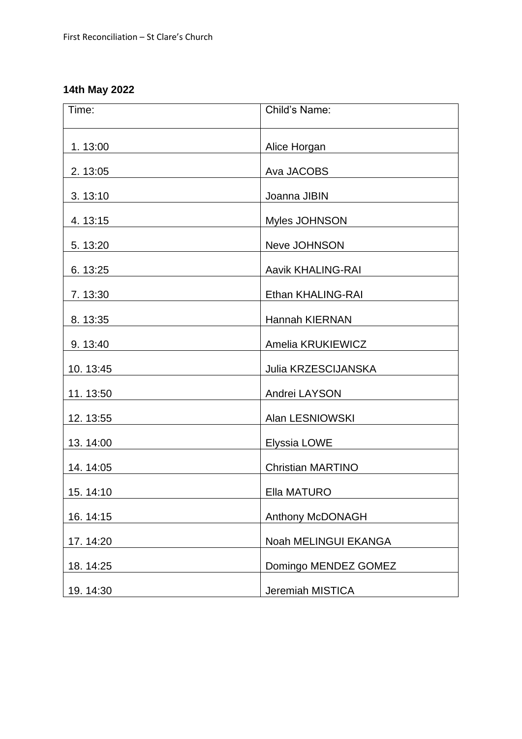## **14th May 2022**

| Time:    | Child's Name:            |
|----------|--------------------------|
| 1.13:00  | Alice Horgan             |
| 2.13:05  | Ava JACOBS               |
| 3.13:10  | Joanna JIBIN             |
| 4.13:15  | Myles JOHNSON            |
| 5.13:20  | Neve JOHNSON             |
| 6.13:25  | <b>Aavik KHALING-RAI</b> |
| 7.13:30  | Ethan KHALING-RAI        |
| 8.13:35  | <b>Hannah KIERNAN</b>    |
| 9.13:40  | Amelia KRUKIEWICZ        |
| 10.13:45 | Julia KRZESCIJANSKA      |
| 11.13:50 | Andrei LAYSON            |
| 12.13:55 | Alan LESNIOWSKI          |
| 13.14:00 | Elyssia LOWE             |
| 14.14:05 | <b>Christian MARTINO</b> |
| 15.14:10 | Ella MATURO              |
| 16.14:15 | Anthony McDONAGH         |
| 17.14:20 | Noah MELINGUI EKANGA     |
| 18.14:25 | Domingo MENDEZ GOMEZ     |
| 19.14:30 | Jeremiah MISTICA         |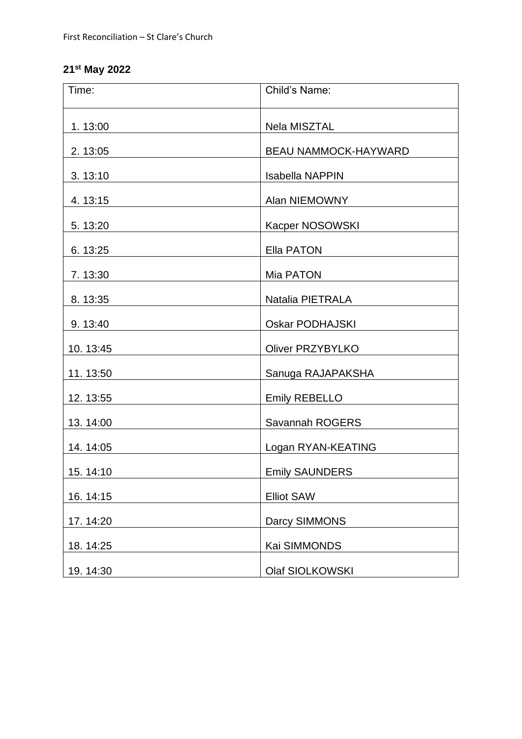## **21st May 2022**

| Time:    | Child's Name:               |
|----------|-----------------------------|
| 1.13:00  | Nela MISZTAL                |
| 2.13:05  | <b>BEAU NAMMOCK-HAYWARD</b> |
| 3.13:10  | <b>Isabella NAPPIN</b>      |
| 4.13:15  | Alan NIEMOWNY               |
| 5.13:20  | Kacper NOSOWSKI             |
| 6.13:25  | <b>Ella PATON</b>           |
| 7.13:30  | Mia PATON                   |
| 8.13:35  | Natalia PIETRALA            |
| 9.13:40  | <b>Oskar PODHAJSKI</b>      |
| 10.13:45 | <b>Oliver PRZYBYLKO</b>     |
| 11.13:50 | Sanuga RAJAPAKSHA           |
| 12.13:55 | Emily REBELLO               |
| 13.14:00 | Savannah ROGERS             |
| 14.14:05 | Logan RYAN-KEATING          |
| 15.14:10 | <b>Emily SAUNDERS</b>       |
| 16.14:15 | <b>Elliot SAW</b>           |
| 17.14:20 | Darcy SIMMONS               |
| 18.14:25 | Kai SIMMONDS                |
| 19.14:30 | Olaf SIOLKOWSKI             |